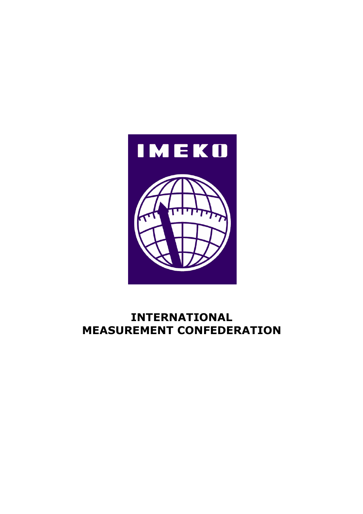

# **INTERNATIONAL MEASUREMENT CONFEDERATION**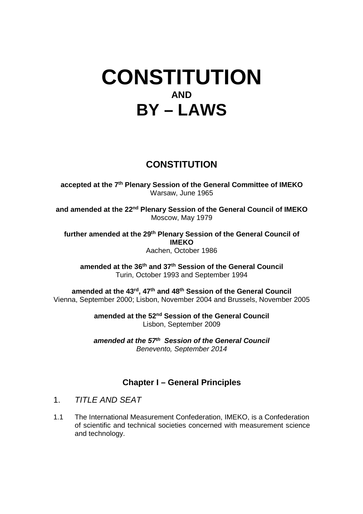# **CONSTITUTION AND BY – LAWS**

# **CONSTITUTION**

**accepted at the 7th Plenary Session of the General Committee of IMEKO**  Warsaw, June 1965

**and amended at the 22nd Plenary Session of the General Council of IMEKO**  Moscow, May 1979

**further amended at the 29th Plenary Session of the General Council of IMEKO**  Aachen, October 1986

**amended at the 36th and 37th Session of the General Council**  Turin, October 1993 and September 1994

**amended at the 43rd, 47th and 48th Session of the General Council**  Vienna, September 2000; Lisbon, November 2004 and Brussels, November 2005

> **amended at the 52nd Session of the General Council**  Lisbon, September 2009

> **amended at the 57th Session of the General Council**  Benevento, September 2014

# **Chapter I – General Principles**

- 1 TITLE AND SEAT
- 1.1 The International Measurement Confederation, IMEKO, is a Confederation of scientific and technical societies concerned with measurement science and technology.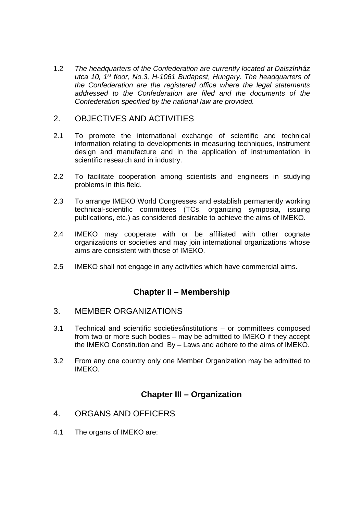1.2 The headquarters of the Confederation are currently located at Dalszínház utca 10, 1<sup>st</sup> floor, No.3, H-1061 Budapest, Hungary. The headquarters of the Confederation are the registered office where the legal statements addressed to the Confederation are filed and the documents of the Confederation specified by the national law are provided.

### 2. OBJECTIVES AND ACTIVITIES

- 2.1 To promote the international exchange of scientific and technical information relating to developments in measuring techniques, instrument design and manufacture and in the application of instrumentation in scientific research and in industry.
- 2.2 To facilitate cooperation among scientists and engineers in studying problems in this field.
- 2.3 To arrange IMEKO World Congresses and establish permanently working technical-scientific committees (TCs, organizing symposia, issuing publications, etc.) as considered desirable to achieve the aims of IMEKO.
- 2.4 IMEKO may cooperate with or be affiliated with other cognate organizations or societies and may join international organizations whose aims are consistent with those of IMEKO.
- 2.5 IMEKO shall not engage in any activities which have commercial aims.

## **Chapter II – Membership**

#### 3. MEMBER ORGANIZATIONS

- 3.1 Technical and scientific societies/institutions or committees composed from two or more such bodies – may be admitted to IMEKO if they accept the IMEKO Constitution and By – Laws and adhere to the aims of IMEKO.
- 3.2 From any one country only one Member Organization may be admitted to IMEKO.

#### **Chapter III – Organization**

- 4. ORGANS AND OFFICERS
- 4.1 The organs of IMEKO are: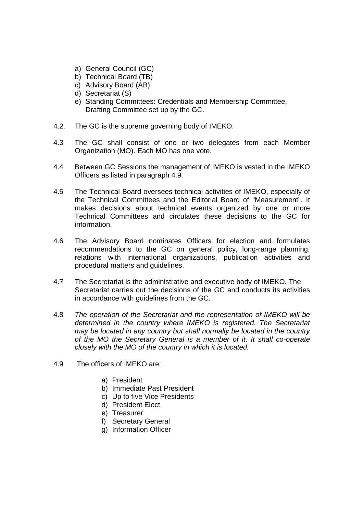- a) General Council (GC)
- b) Technical Board (TB)
- c) Advisory Board (AB)
- d) Secretariat (S)
- e) Standing Committees: Credentials and Membership Committee, Drafting Committee set up by the GC.
- 4.2. The GC is the supreme governing body of IMEKO.
- 4.3 The GC shall consist of one or two delegates from each Member Organization (MO). Each MO has one vote.
- 4.4 Between GC Sessions the management of IMEKO is vested in the IMEKO Officers as listed in paragraph 4.9.
- 4.5 The Technical Board oversees technical activities of IMEKO, especially of the Technical Committees and the Editorial Board of "Measurement". It makes decisions about technical events organized by one or more Technical Committees and circulates these decisions to the GC for information.
- 4.6 The Advisory Board nominates Officers for election and formulates recommendations to the GC on general policy, long-range planning, relations with international organizations, publication activities and procedural matters and guidelines.
- 4.7 The Secretariat is the administrative and executive body of IMEKO. The Secretariat carries out the decisions of the GC and conducts its activities in accordance with guidelines from the GC.
- 4.8 The operation of the Secretariat and the representation of IMEKO will be determined in the country where IMEKO is registered. The Secretariat may be located in any country but shall normally be located in the country of the MO the Secretary General is a member of it. It shall co-operate closely with the MO of the country in which it is located.
- 4.9 The officers of IMEKO are:
	- a) President
	- b) Immediate Past President
	- c) Up to five Vice Presidents
	- d) President Elect
	- e) Treasurer
	- f) Secretary General
	- g) Information Officer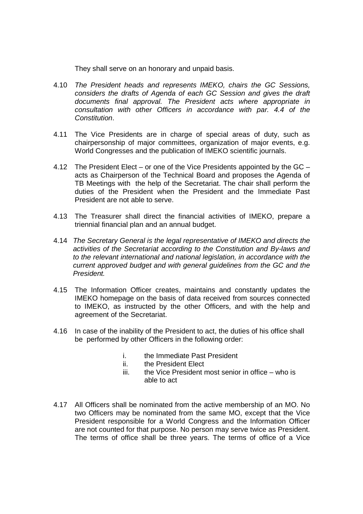They shall serve on an honorary and unpaid basis.

- 4.10 The President heads and represents IMEKO, chairs the GC Sessions, considers the drafts of Agenda of each GC Session and gives the draft documents final approval. The President acts where appropriate in consultation with other Officers in accordance with par. 4.4 of the Constitution.
- 4.11 The Vice Presidents are in charge of special areas of duty, such as chairpersonship of major committees, organization of major events, e.g. World Congresses and the publication of IMEKO scientific journals.
- 4.12 The President Elect or one of the Vice Presidents appointed by the GC acts as Chairperson of the Technical Board and proposes the Agenda of TB Meetings with the help of the Secretariat. The chair shall perform the duties of the President when the President and the Immediate Past President are not able to serve.
- 4.13 The Treasurer shall direct the financial activities of IMEKO, prepare a triennial financial plan and an annual budget.
- 4.14 The Secretary General is the legal representative of IMEKO and directs the activities of the Secretariat according to the Constitution and By-laws and to the relevant international and national legislation, in accordance with the current approved budget and with general guidelines from the GC and the President.
- 4.15 The Information Officer creates, maintains and constantly updates the IMEKO homepage on the basis of data received from sources connected to IMEKO, as instructed by the other Officers, and with the help and agreement of the Secretariat.
- 4.16 In case of the inability of the President to act, the duties of his office shall be performed by other Officers in the following order:
	- i. the Immediate Past President
	- ii. the President Elect
	- $iii$  the Vice President most senior in office who is able to act
- 4.17 All Officers shall be nominated from the active membership of an MO. No two Officers may be nominated from the same MO, except that the Vice President responsible for a World Congress and the Information Officer are not counted for that purpose. No person may serve twice as President. The terms of office shall be three years. The terms of office of a Vice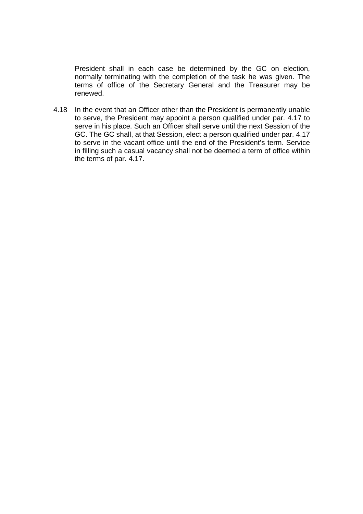President shall in each case be determined by the GC on election, normally terminating with the completion of the task he was given. The terms of office of the Secretary General and the Treasurer may be renewed.

4.18 In the event that an Officer other than the President is permanently unable to serve, the President may appoint a person qualified under par. 4.17 to serve in his place. Such an Officer shall serve until the next Session of the GC. The GC shall, at that Session, elect a person qualified under par. 4.17 to serve in the vacant office until the end of the President's term. Service in filling such a casual vacancy shall not be deemed a term of office within the terms of par. 4.17.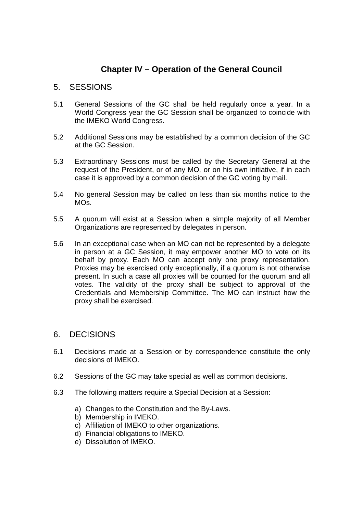# **Chapter IV – Operation of the General Council**

#### 5. SESSIONS

- 5.1 General Sessions of the GC shall be held regularly once a year. In a World Congress year the GC Session shall be organized to coincide with the IMEKO World Congress.
- 5.2 Additional Sessions may be established by a common decision of the GC at the GC Session.
- 5.3 Extraordinary Sessions must be called by the Secretary General at the request of the President, or of any MO, or on his own initiative, if in each case it is approved by a common decision of the GC voting by mail.
- 5.4 No general Session may be called on less than six months notice to the MOs.
- 5.5 A quorum will exist at a Session when a simple majority of all Member Organizations are represented by delegates in person.
- 5.6 In an exceptional case when an MO can not be represented by a delegate in person at a GC Session, it may empower another MO to vote on its behalf by proxy. Each MO can accept only one proxy representation. Proxies may be exercised only exceptionally, if a quorum is not otherwise present. In such a case all proxies will be counted for the quorum and all votes. The validity of the proxy shall be subject to approval of the Credentials and Membership Committee. The MO can instruct how the proxy shall be exercised.

#### 6. DECISIONS

- 6.1 Decisions made at a Session or by correspondence constitute the only decisions of IMEKO.
- 6.2 Sessions of the GC may take special as well as common decisions.
- 6.3 The following matters require a Special Decision at a Session:
	- a) Changes to the Constitution and the By-Laws.
	- b) Membership in IMEKO.
	- c) Affiliation of IMEKO to other organizations.
	- d) Financial obligations to IMEKO.
	- e) Dissolution of IMEKO.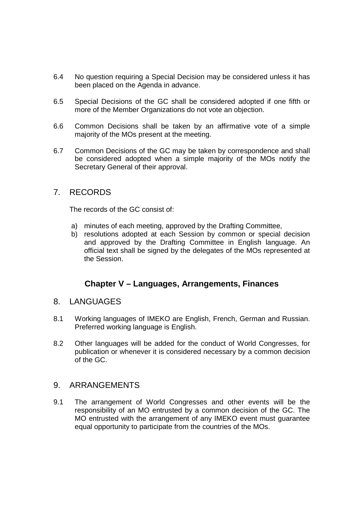- 6.4 No question requiring a Special Decision may be considered unless it has been placed on the Agenda in advance.
- 6.5 Special Decisions of the GC shall be considered adopted if one fifth or more of the Member Organizations do not vote an objection.
- 6.6 Common Decisions shall be taken by an affirmative vote of a simple majority of the MOs present at the meeting.
- 6.7 Common Decisions of the GC may be taken by correspondence and shall be considered adopted when a simple majority of the MOs notify the Secretary General of their approval.

#### 7. RECORDS

The records of the GC consist of:

- a) minutes of each meeting, approved by the Drafting Committee,
- b) resolutions adopted at each Session by common or special decision and approved by the Drafting Committee in English language. An official text shall be signed by the delegates of the MOs represented at the Session.

#### **Chapter V – Languages, Arrangements, Finances**

- 8. LANGUAGES
- 8.1 Working languages of IMEKO are English, French, German and Russian. Preferred working language is English.
- 8.2 Other languages will be added for the conduct of World Congresses, for publication or whenever it is considered necessary by a common decision of the GC.

#### 9. ARRANGEMENTS

9.1 The arrangement of World Congresses and other events will be the responsibility of an MO entrusted by a common decision of the GC. The MO entrusted with the arrangement of any IMEKO event must guarantee equal opportunity to participate from the countries of the MOs.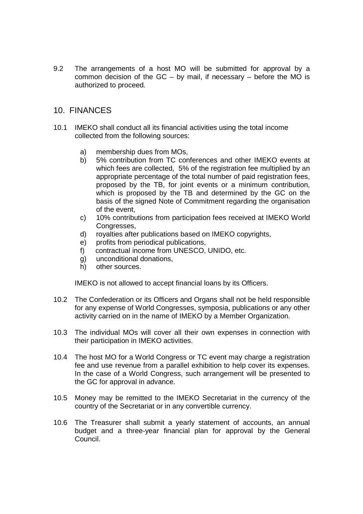9.2 The arrangements of a host MO will be submitted for approval by a common decision of the  $GC - by$  mail, if necessary – before the MO is authorized to proceed.

#### 10. FINANCES

- 10.1 IMEKO shall conduct all its financial activities using the total income collected from the following sources:
	- a) membership dues from MOs,
	- b) 5% contribution from TC conferences and other IMEKO events at which fees are collected, 5% of the registration fee multiplied by an appropriate percentage of the total number of paid registration fees, proposed by the TB, for joint events or a minimum contribution, which is proposed by the TB and determined by the GC on the basis of the signed Note of Commitment regarding the organisation of the event,
	- c) 10% contributions from participation fees received at IMEKO World Congresses.
	- d) royalties after publications based on IMEKO copyrights,
	- e) profits from periodical publications,
	- f) contractual income from UNESCO, UNIDO, etc.
	- g) unconditional donations,
	- h) other sources.

IMEKO is not allowed to accept financial loans by its Officers.

- 10.2 The Confederation or its Officers and Organs shall not be held responsible for any expense of World Congresses, symposia, publications or any other activity carried on in the name of IMEKO by a Member Organization.
- 10.3 The individual MOs will cover all their own expenses in connection with their participation in IMEKO activities.
- 10.4 The host MO for a World Congress or TC event may charge a registration fee and use revenue from a parallel exhibition to help cover its expenses. In the case of a World Congress, such arrangement will be presented to the GC for approval in advance.
- 10.5 Money may be remitted to the IMEKO Secretariat in the currency of the country of the Secretariat or in any convertible currency.
- 10.6 The Treasurer shall submit a yearly statement of accounts, an annual budget and a three-year financial plan for approval by the General Council.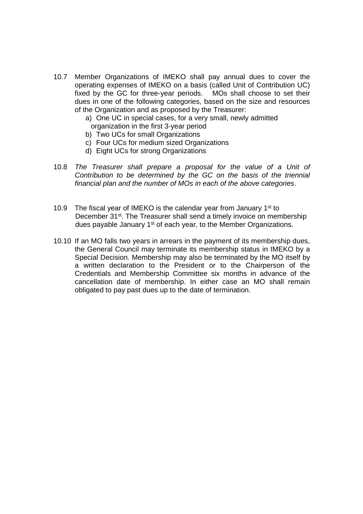- 10.7 Member Organizations of IMEKO shall pay annual dues to cover the operating expenses of IMEKO on a basis (called Unit of Contribution UC) fixed by the GC for three-year periods. MOs shall choose to set their dues in one of the following categories, based on the size and resources of the Organization and as proposed by the Treasurer:
	- a) One UC in special cases, for a very small, newly admitted organization in the first 3-year period
	- b) Two UCs for small Organizations
	- c) Four UCs for medium sized Organizations
	- d) Eight UCs for strong Organizations
- 10.8 The Treasurer shall prepare a proposal for the value of a Unit of Contribution to be determined by the GC on the basis of the triennial financial plan and the number of MOs in each of the above categories.
- 10.9 The fiscal year of IMEKO is the calendar year from January 1<sup>st</sup> to December 31<sup>st</sup>. The Treasurer shall send a timely invoice on membership dues payable January 1<sup>st</sup> of each year, to the Member Organizations.
- 10.10 If an MO falls two years in arrears in the payment of its membership dues, the General Council may terminate its membership status in IMEKO by a Special Decision. Membership may also be terminated by the MO itself by a written declaration to the President or to the Chairperson of the Credentials and Membership Committee six months in advance of the cancellation date of membership. In either case an MO shall remain obligated to pay past dues up to the date of termination.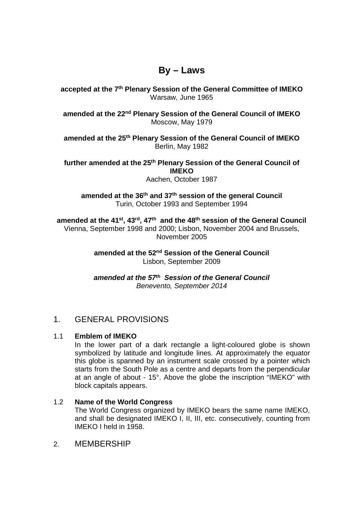# **By – Laws**

**accepted at the 7th Plenary Session of the General Committee of IMEKO**  Warsaw, June 1965

**amended at the 22nd Plenary Session of the General Council of IMEKO**  Moscow, May 1979

**amended at the 25th Plenary Session of the General Council of IMEKO**  Berlin, May 1982

**further amended at the 25th Plenary Session of the General Council of IMEKO** 

Aachen, October 1987

**amended at the 36th and 37th session of the general Council**  Turin, October 1993 and September 1994

**amended at the 41st, 43rd, 47th and the 48th session of the General Council**  Vienna, September 1998 and 2000; Lisbon, November 2004 and Brussels, November 2005

> **amended at the 52nd Session of the General Council**  Lisbon, September 2009

> **amended at the 57th Session of the General Council**  Benevento, September 2014

#### 1. GENERAL PROVISIONS

#### 1.1 **Emblem of IMEKO**

In the lower part of a dark rectangle a light-coloured globe is shown symbolized by latitude and longitude lines. At approximately the equator this globe is spanned by an instrument scale crossed by a pointer which starts from the South Pole as a centre and departs from the perpendicular at an angle of about - 15°. Above the globe the inscription "IMEKO" with block capitals appears.

#### 1.2 **Name of the World Congress**

The World Congress organized by IMEKO bears the same name IMEKO, and shall be designated IMEKO I, II, III, etc. consecutively, counting from IMEKO I held in 1958.

#### 2. MEMBERSHIP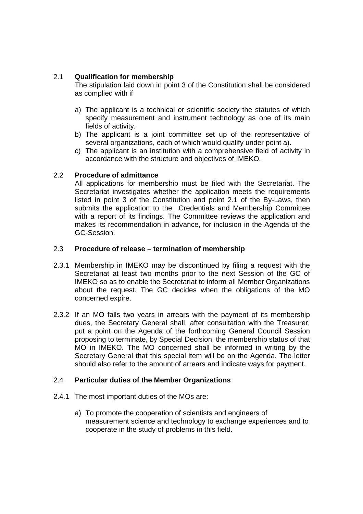#### 2.1 **Qualification for membership**

The stipulation laid down in point 3 of the Constitution shall be considered as complied with if

- a) The applicant is a technical or scientific society the statutes of which specify measurement and instrument technology as one of its main fields of activity.
- b) The applicant is a joint committee set up of the representative of several organizations, each of which would qualify under point a).
- c) The applicant is an institution with a comprehensive field of activity in accordance with the structure and objectives of IMEKO.

#### 2.2 **Procedure of admittance**

All applications for membership must be filed with the Secretariat. The Secretariat investigates whether the application meets the requirements listed in point 3 of the Constitution and point 2.1 of the By-Laws, then submits the application to the Credentials and Membership Committee with a report of its findings. The Committee reviews the application and makes its recommendation in advance, for inclusion in the Agenda of the GC-Session.

#### 2.3 **Procedure of release – termination of membership**

- 2.3.1 Membership in IMEKO may be discontinued by filing a request with the Secretariat at least two months prior to the next Session of the GC of IMEKO so as to enable the Secretariat to inform all Member Organizations about the request. The GC decides when the obligations of the MO concerned expire.
- 2.3.2 If an MO falls two years in arrears with the payment of its membership dues, the Secretary General shall, after consultation with the Treasurer, put a point on the Agenda of the forthcoming General Council Session proposing to terminate, by Special Decision, the membership status of that MO in IMEKO. The MO concerned shall be informed in writing by the Secretary General that this special item will be on the Agenda. The letter should also refer to the amount of arrears and indicate ways for payment.

#### 2.4 **Particular duties of the Member Organizations**

- 2.4.1 The most important duties of the MOs are:
	- a) To promote the cooperation of scientists and engineers of measurement science and technology to exchange experiences and to cooperate in the study of problems in this field.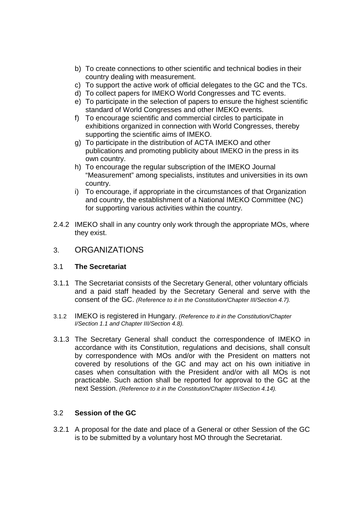- b) To create connections to other scientific and technical bodies in their country dealing with measurement.
- c) To support the active work of official delegates to the GC and the TCs.
- d) To collect papers for IMEKO World Congresses and TC events.
- e) To participate in the selection of papers to ensure the highest scientific standard of World Congresses and other IMEKO events.
- f) To encourage scientific and commercial circles to participate in exhibitions organized in connection with World Congresses, thereby supporting the scientific aims of IMEKO.
- g) To participate in the distribution of ACTA IMEKO and other publications and promoting publicity about IMEKO in the press in its own country.
- h) To encourage the regular subscription of the IMEKO Journal "Measurement" among specialists, institutes and universities in its own country.
- i) To encourage, if appropriate in the circumstances of that Organization and country, the establishment of a National IMEKO Committee (NC) for supporting various activities within the country.
- 2.4.2 IMEKO shall in any country only work through the appropriate MOs, where they exist.

#### 3. ORGANIZATIONS

#### 3.1 **The Secretariat**

- 3.1.1 The Secretariat consists of the Secretary General, other voluntary officials and a paid staff headed by the Secretary General and serve with the consent of the GC. (Reference to it in the Constitution/Chapter III/Section 4.7).
- 3.1.2 IMEKO is registered in Hungary. (Reference to it in the Constitution/Chapter I/Section 1.1 and Chapter III/Section 4.8).
- 3.1.3 The Secretary General shall conduct the correspondence of IMEKO in accordance with its Constitution, regulations and decisions, shall consult by correspondence with MOs and/or with the President on matters not covered by resolutions of the GC and may act on his own initiative in cases when consultation with the President and/or with all MOs is not practicable. Such action shall be reported for approval to the GC at the next Session. (Reference to it in the Constitution/Chapter III/Section 4.14).

#### 3.2 **Session of the GC**

3.2.1 A proposal for the date and place of a General or other Session of the GC is to be submitted by a voluntary host MO through the Secretariat.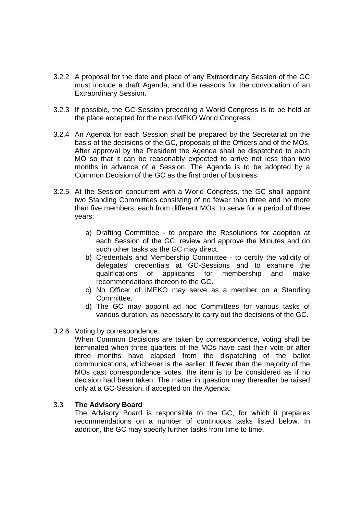- 3.2.2 A proposal for the date and place of any Extraordinary Session of the GC must include a draft Agenda, and the reasons for the convocation of an Extraordinary Session.
- 3.2.3 If possible, the GC-Session preceding a World Congress is to be held at the place accepted for the next IMEKO World Congress.
- 3.2.4 An Agenda for each Session shall be prepared by the Secretariat on the basis of the decisions of the GC, proposals of the Officers and of the MOs. After approval by the President the Agenda shall be dispatched to each MO so that it can be reasonably expected to arrive not less than two months in advance of a Session. The Agenda is to be adopted by a Common Decision of the GC as the first order of business.
- 3.2.5 At the Session concurrent with a World Congress, the GC shall appoint two Standing Committees consisting of no fewer than three and no more than five members, each from different MOs, to serve for a period of three years:
	- a) Drafting Committee to prepare the Resolutions for adoption at each Session of the GC, review and approve the Minutes and do such other tasks as the GC may direct.
	- b) Credentials and Membership Committee to certify the validity of delegates' credentials at GC-Sessions and to examine the qualifications of applicants for membership and make recommendations thereon to the GC.
	- c) No Officer of IMEKO may serve as a member on a Standing Committee.
	- d) The GC may appoint ad hoc Committees for various tasks of various duration, as necessary to carry out the decisions of the GC.
- 3.2.6 Voting by correspondence.

When Common Decisions are taken by correspondence, voting shall be terminated when three quarters of the MOs have cast their vote or after three months have elapsed from the dispatching of the ballot communications, whichever is the earlier. If fewer than the majority of the MOs cast correspondence votes, the item is to be considered as if no decision had been taken. The matter in question may thereafter be raised only at a GC-Session, if accepted on the Agenda.

#### 3.3 **The Advisory Board**

The Advisory Board is responsible to the GC, for which it prepares recommendations on a number of continuous tasks listed below. In addition, the GC may specify further tasks from time to time.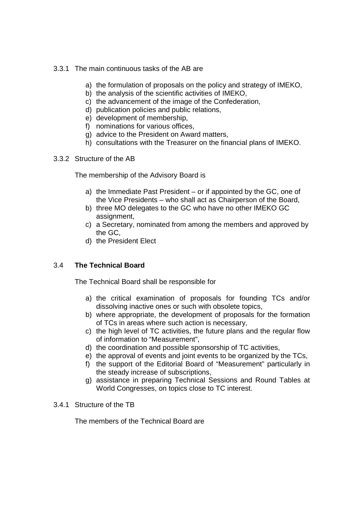- 3.3.1 The main continuous tasks of the AB are
	- a) the formulation of proposals on the policy and strategy of IMEKO,
	- b) the analysis of the scientific activities of IMEKO,
	- c) the advancement of the image of the Confederation,
	- d) publication policies and public relations,
	- e) development of membership,
	- f) nominations for various offices,
	- g) advice to the President on Award matters,
	- h) consultations with the Treasurer on the financial plans of IMEKO.
- 3.3.2 Structure of the AB

The membership of the Advisory Board is

- a) the Immediate Past President or if appointed by the GC, one of the Vice Presidents – who shall act as Chairperson of the Board,
- b) three MO delegates to the GC who have no other IMEKO GC assignment,
- c) a Secretary, nominated from among the members and approved by the GC,
- d) the President Elect

#### 3.4 **The Technical Board**

The Technical Board shall be responsible for

- a) the critical examination of proposals for founding TCs and/or dissolving inactive ones or such with obsolete topics,
- b) where appropriate, the development of proposals for the formation of TCs in areas where such action is necessary,
- c) the high level of TC activities, the future plans and the regular flow of information to "Measurement",
- d) the coordination and possible sponsorship of TC activities,
- e) the approval of events and joint events to be organized by the TCs,
- f) the support of the Editorial Board of "Measurement" particularly in the steady increase of subscriptions,
- g) assistance in preparing Technical Sessions and Round Tables at World Congresses, on topics close to TC interest.
- 3.4.1 Structure of the TB

The members of the Technical Board are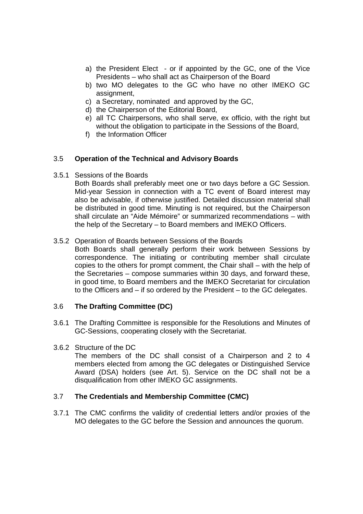- a) the President Elect or if appointed by the GC, one of the Vice Presidents – who shall act as Chairperson of the Board
- b) two MO delegates to the GC who have no other IMEKO GC assignment,
- c) a Secretary, nominated and approved by the GC,
- d) the Chairperson of the Editorial Board,
- e) all TC Chairpersons, who shall serve, ex officio, with the right but without the obligation to participate in the Sessions of the Board,
- f) the Information Officer

#### 3.5 **Operation of the Technical and Advisory Boards**

3.5.1 Sessions of the Boards

Both Boards shall preferably meet one or two days before a GC Session. Mid-year Session in connection with a TC event of Board interest may also be advisable, if otherwise justified. Detailed discussion material shall be distributed in good time. Minuting is not required, but the Chairperson shall circulate an "Aide Mémoire" or summarized recommendations – with the help of the Secretary – to Board members and IMEKO Officers.

#### 3.5.2 Operation of Boards between Sessions of the Boards

Both Boards shall generally perform their work between Sessions by correspondence. The initiating or contributing member shall circulate copies to the others for prompt comment, the Chair shall – with the help of the Secretaries – compose summaries within 30 days, and forward these, in good time, to Board members and the IMEKO Secretariat for circulation to the Officers and – if so ordered by the President – to the GC delegates.

#### 3.6 **The Drafting Committee (DC)**

3.6.1 The Drafting Committee is responsible for the Resolutions and Minutes of GC-Sessions, cooperating closely with the Secretariat.

#### 3.6.2 Structure of the DC

The members of the DC shall consist of a Chairperson and 2 to 4 members elected from among the GC delegates or Distinguished Service Award (DSA) holders (see Art. 5). Service on the DC shall not be a disqualification from other IMEKO GC assignments.

#### 3.7 **The Credentials and Membership Committee (CMC)**

3.7.1 The CMC confirms the validity of credential letters and/or proxies of the MO delegates to the GC before the Session and announces the quorum.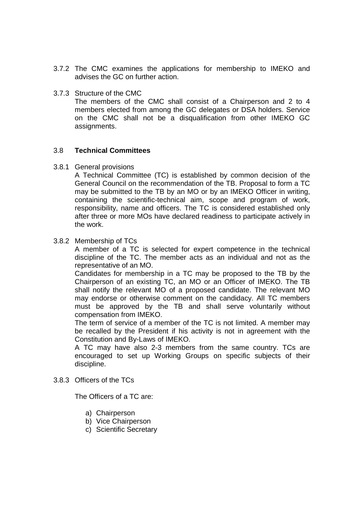- 3.7.2 The CMC examines the applications for membership to IMEKO and advises the GC on further action.
- 3.7.3 Structure of the CMC The members of the CMC shall consist of a Chairperson and 2 to 4 members elected from among the GC delegates or DSA holders. Service on the CMC shall not be a disqualification from other IMEKO GC assignments.

#### 3.8 **Technical Committees**

3.8.1 General provisions

A Technical Committee (TC) is established by common decision of the General Council on the recommendation of the TB. Proposal to form a TC may be submitted to the TB by an MO or by an IMEKO Officer in writing, containing the scientific-technical aim, scope and program of work, responsibility, name and officers. The TC is considered established only after three or more MOs have declared readiness to participate actively in the work.

#### 3.8.2 Membership of TCs

A member of a TC is selected for expert competence in the technical discipline of the TC. The member acts as an individual and not as the representative of an MO.

Candidates for membership in a TC may be proposed to the TB by the Chairperson of an existing TC, an MO or an Officer of IMEKO. The TB shall notify the relevant MO of a proposed candidate. The relevant MO may endorse or otherwise comment on the candidacy. All TC members must be approved by the TB and shall serve voluntarily without compensation from IMEKO.

The term of service of a member of the TC is not limited. A member may be recalled by the President if his activity is not in agreement with the Constitution and By-Laws of IMEKO.

A TC may have also 2-3 members from the same country. TCs are encouraged to set up Working Groups on specific subjects of their discipline.

#### 3.8.3 Officers of the TCs

The Officers of a TC are:

- a) Chairperson
- b) Vice Chairperson
- c) Scientific Secretary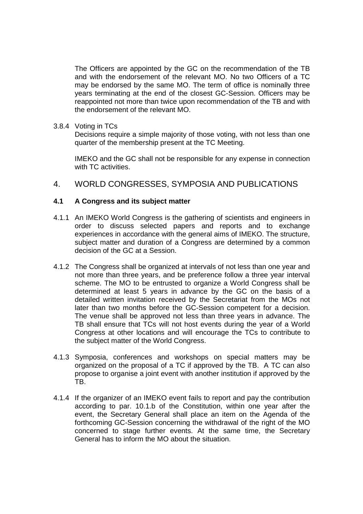The Officers are appointed by the GC on the recommendation of the TB and with the endorsement of the relevant MO. No two Officers of a TC may be endorsed by the same MO. The term of office is nominally three years terminating at the end of the closest GC-Session. Officers may be reappointed not more than twice upon recommendation of the TB and with the endorsement of the relevant MO.

#### 3.8.4 Voting in TCs

Decisions require a simple majority of those voting, with not less than one quarter of the membership present at the TC Meeting.

IMEKO and the GC shall not be responsible for any expense in connection with TC activities.

#### 4. WORLD CONGRESSES, SYMPOSIA AND PUBLICATIONS

#### **4.1 A Congress and its subject matter**

- 4.1.1 An IMEKO World Congress is the gathering of scientists and engineers in order to discuss selected papers and reports and to exchange experiences in accordance with the general aims of IMEKO. The structure, subject matter and duration of a Congress are determined by a common decision of the GC at a Session.
- 4.1.2 The Congress shall be organized at intervals of not less than one year and not more than three years, and be preference follow a three year interval scheme. The MO to be entrusted to organize a World Congress shall be determined at least 5 years in advance by the GC on the basis of a detailed written invitation received by the Secretariat from the MOs not later than two months before the GC-Session competent for a decision. The venue shall be approved not less than three years in advance. The TB shall ensure that TCs will not host events during the year of a World Congress at other locations and will encourage the TCs to contribute to the subject matter of the World Congress.
- 4.1.3 Symposia, conferences and workshops on special matters may be organized on the proposal of a TC if approved by the TB. A TC can also propose to organise a joint event with another institution if approved by the TB.
- 4.1.4 If the organizer of an IMEKO event fails to report and pay the contribution according to par. 10.1.b of the Constitution, within one year after the event, the Secretary General shall place an item on the Agenda of the forthcoming GC-Session concerning the withdrawal of the right of the MO concerned to stage further events. At the same time, the Secretary General has to inform the MO about the situation.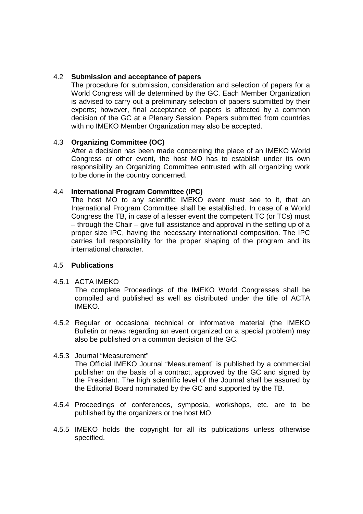#### 4.2 **Submission and acceptance of papers**

The procedure for submission, consideration and selection of papers for a World Congress will de determined by the GC. Each Member Organization is advised to carry out a preliminary selection of papers submitted by their experts; however, final acceptance of papers is affected by a common decision of the GC at a Plenary Session. Papers submitted from countries with no IMEKO Member Organization may also be accepted.

#### 4.3 **Organizing Committee (OC)**

After a decision has been made concerning the place of an IMEKO World Congress or other event, the host MO has to establish under its own responsibility an Organizing Committee entrusted with all organizing work to be done in the country concerned.

#### 4.4 **International Program Committee (IPC)**

The host MO to any scientific IMEKO event must see to it, that an International Program Committee shall be established. In case of a World Congress the TB, in case of a lesser event the competent TC (or TCs) must – through the Chair – give full assistance and approval in the setting up of a proper size IPC, having the necessary international composition. The IPC carries full responsibility for the proper shaping of the program and its international character.

#### 4.5 **Publications**

#### 4.5.1 ACTA IMEKO

The complete Proceedings of the IMEKO World Congresses shall be compiled and published as well as distributed under the title of ACTA IMEKO.

4.5.2 Regular or occasional technical or informative material (the IMEKO Bulletin or news regarding an event organized on a special problem) may also be published on a common decision of the GC.

#### 4.5.3 Journal "Measurement"

The Official IMEKO Journal "Measurement" is published by a commercial publisher on the basis of a contract, approved by the GC and signed by the President. The high scientific level of the Journal shall be assured by the Editorial Board nominated by the GC and supported by the TB.

- 4.5.4 Proceedings of conferences, symposia, workshops, etc. are to be published by the organizers or the host MO.
- 4.5.5 IMEKO holds the copyright for all its publications unless otherwise specified.